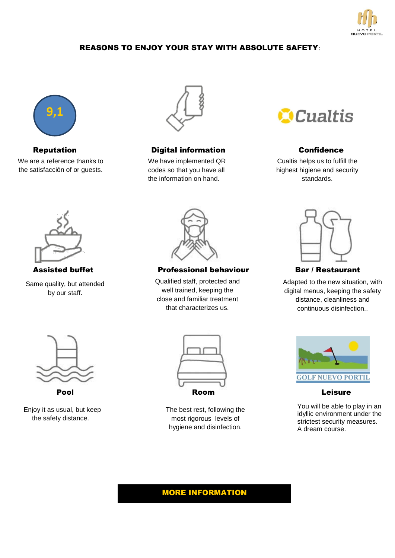

### REASONS TO ENJOY YOUR STAY WITH ABSOLUTE SAFETY:



We are a reference thanks to the satisfacción of or guests.



#### Reputation **Digital information** Confidence

We have implemented QR codes so that you have all the information on hand.



Cualtis helps us to fulfill the highest higiene and security standards.



Same quality, but attended by our staff.



Assisted buffet **Professional behaviour** Bar / Restaurant

Qualified staff, protected and well trained, keeping the close and familiar treatment that characterizes us.



Adapted to the new situation, with digital menus, keeping the safety distance, cleanliness and continuous disinfection..



 Enjoy it as usual, but keep the safety distance.



The best rest, following the most rigorous levels of hygiene and disinfection.



You will be able to play in an idyllic environment under the strictest security measures. A dream course.

# MORE INFORMATION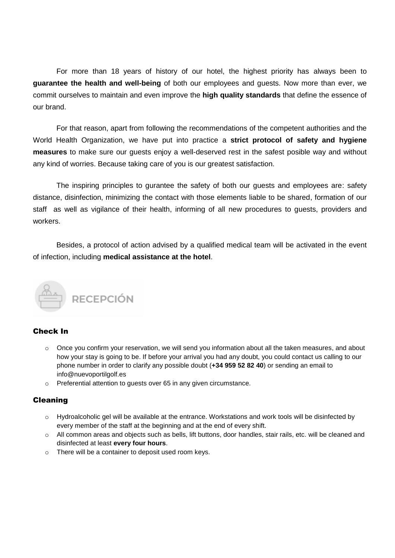For more than 18 years of history of our hotel, the highest priority has always been to **guarantee the health and well-being** of both our employees and guests. Now more than ever, we commit ourselves to maintain and even improve the **high quality standards** that define the essence of our brand.

For that reason, apart from following the recommendations of the competent authorities and the World Health Organization, we have put into practice a **strict protocol of safety and hygiene measures** to make sure our guests enjoy a well-deserved rest in the safest posible way and without any kind of worries. Because taking care of you is our greatest satisfaction.

The inspiring principles to gurantee the safety of both our guests and employees are: safety distance, disinfection, minimizing the contact with those elements liable to be shared, formation of our staff as well as vigilance of their health, informing of all new procedures to guests, providers and workers.

Besides, a protocol of action advised by a qualified medical team will be activated in the event of infection, including **medical assistance at the hotel**.



#### Check In

- $\circ$  Once you confirm your reservation, we will send you information about all the taken measures, and about how your stay is going to be. If before your arrival you had any doubt, you could contact us calling to our phone number in order to clarify any possible doubt (**+34 959 52 82 40**) or sending an email to info@nuevoportilgolf.es
- o Preferential attention to guests over 65 in any given circumstance.

#### Cleaning

- o Hydroalcoholic gel will be available at the entrance. Workstations and work tools will be disinfected by every member of the staff at the beginning and at the end of every shift.
- o All common areas and objects such as bells, lift buttons, door handles, stair rails, etc. will be cleaned and disinfected at least **every four hours**.
- o There will be a container to deposit used room keys.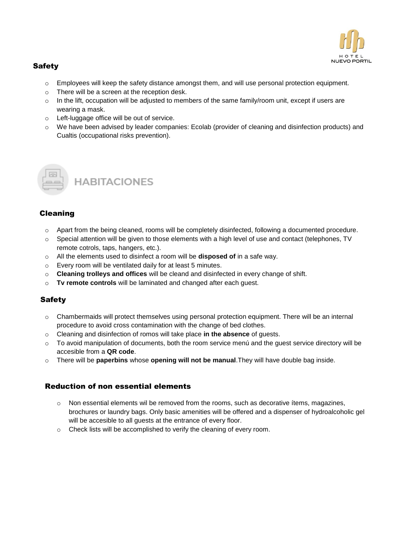

### **Safety**

- o Employees will keep the safety distance amongst them, and will use personal protection equipment.
- o There will be a screen at the reception desk.
- $\circ$  In the lift, occupation will be adjusted to members of the same family/room unit, except if users are wearing a mask.
- o Left-luggage office will be out of service.
- o We have been advised by leader companies: Ecolab (provider of cleaning and disinfection products) and Cualtis (occupational risks prevention).



**HABITACIONES** 

### Cleaning

- $\circ$  Apart from the being cleaned, rooms will be completely disinfected, following a documented procedure.
- o Special attention will be given to those elements with a high level of use and contact (telephones, TV remote cotrols, taps, hangers, etc.).
- o All the elements used to disinfect a room will be **disposed of** in a safe way.
- o Every room will be ventilated daily for at least 5 minutes.
- o **Cleaning trolleys and offices** will be cleand and disinfected in every change of shift.
- o **Tv remote controls** will be laminated and changed after each guest.

#### **Safety**

- o Chambermaids will protect themselves using personal protection equipment. There will be an internal procedure to avoid cross contamination with the change of bed clothes.
- o Cleaning and disinfection of romos will take place **in the absence** of guests.
- o To avoid manipulation of documents, both the room service menú and the guest service directory will be accesible from a **QR code**.
- o There will be **paperbins** whose **opening will not be manual**.They will have double bag inside.

#### Reduction of non essential elements

- $\circ$  Non essential elements wil be removed from the rooms, such as decorative ítems, magazines, brochures or laundry bags. Only basic amenities will be offered and a dispenser of hydroalcoholic gel will be accesible to all guests at the entrance of every floor.
- o Check lists will be accomplished to verify the cleaning of every room.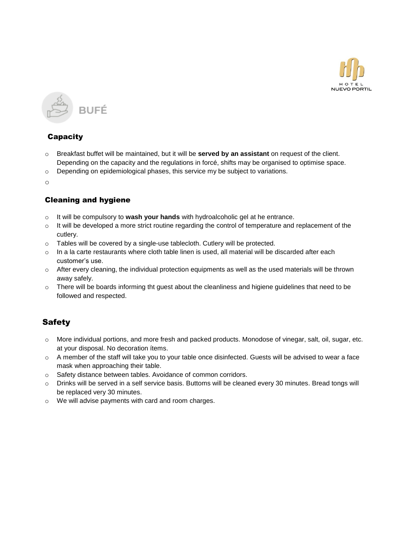



### **Capacity**

- o Breakfast buffet will be maintained, but it will be **served by an assistant** on request of the client. Depending on the capacity and the regulations in forcé, shifts may be organised to optimise space.
- $\circ$  Depending on epidemiological phases, this service my be subject to variations.

o

## Cleaning and hygiene

- o It will be compulsory to **wash your hands** with hydroalcoholic gel at he entrance.
- o It will be developed a more strict routine regarding the control of temperature and replacement of the cutlery.
- o Tables will be covered by a single-use tablecloth. Cutlery will be protected.
- $\circ$  In a la carte restaurants where cloth table linen is used, all material will be discarded after each customer's use.
- o After every cleaning, the individual protection equipments as well as the used materials will be thrown away safely.
- $\circ$  There will be boards informing tht guest about the cleanliness and higiene guidelines that need to be followed and respected.

## **Safety**

- o More individual portions, and more fresh and packed products. Monodose of vinegar, salt, oil, sugar, etc. at your disposal. No decoration ítems.
- $\circ$  A member of the staff will take you to your table once disinfected. Guests will be advised to wear a face mask when approaching their table.
- o Safety distance between tables. Avoidance of common corridors.
- o Drinks will be served in a self service basis. Buttoms will be cleaned every 30 minutes. Bread tongs will be replaced very 30 minutes.
- o We will advise payments with card and room charges.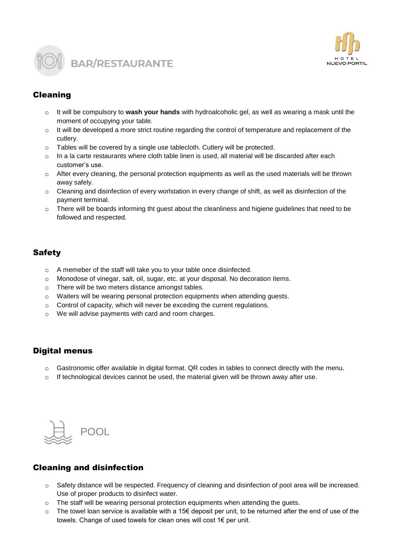



## Cleaning

- o It will be compulsory to **wash your hands** with hydroalcoholic gel, as well as wearing a mask until the moment of occupying your table.
- $\circ$  It will be developed a more strict routine regarding the control of temperature and replacement of the cutlery.
- o Tables will be covered by a single use tablecloth. Cutlery will be protected.
- $\circ$  In a la carte restaurants where cloth table linen is used, all material will be discarded after each customer's use.
- $\circ$  After every cleaning, the personal protection equipments as well as the used materials will be thrown away safely.
- $\circ$  Cleaning and disinfection of every worlstation in every change of shift, as well as disinfection of the payment terminal.
- $\circ$  There will be boards informing tht guest about the cleanliness and higiene guidelines that need to be followed and respected.

## **Safety**

- o A memeber of the staff will take you to your table once disinfected.
- o Monodose of vinegar, salt, oil, sugar, etc. at your disposal. No decoration ítems.
- o There will be two meters distance amongst tables.
- $\circ$  Waiters will be wearing personal protection equipments when attending quests.
- o Control of capacity, which will never be exceding the current regulations.
- o We will advise payments with card and room charges.

### Digital menus

- $\circ$  Gastronomic offer available in digital format. QR codes in tables to connect directly with the menu.
- If technological devices cannot be used, the material given will be thrown away after use.



## Cleaning and disinfection

- o Safety distance will be respected. Frequency of cleaning and disinfection of pool area will be increased. Use of proper products to disinfect water.
- $\circ$  The staff will be wearing personal protection equipments when attending the guets.
- $\circ$  The towel loan service is available with a 15€ deposit per unit, to be returned after the end of use of the towels. Change of used towels for clean ones will cost 1€ per unit.